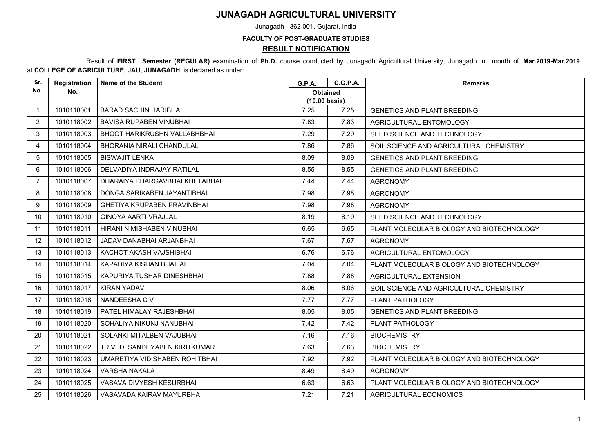## **JUNAGADH AGRICULTURAL UNIVERSITY**

Junagadh - 362 001, Gujarat, India

## **FACULTY OF POST-GRADUATE STUDIES RESULT NOTIFICATION**

 Result of **FIRST Semester (REGULAR)** examination of **Ph.D.** course conducted by Junagadh Agricultural University, Junagadh in month of **Mar.2019-Mar.2019** at **COLLEGE OF AGRICULTURE, JAU, JUNAGADH** is declared as under:

| Sr.            | Registration | <b>Name of the Student</b>         | <b>G.P.A.</b>                              | <b>C.G.P.A.</b> | <b>Remarks</b>                            |
|----------------|--------------|------------------------------------|--------------------------------------------|-----------------|-------------------------------------------|
| No.            | No.          |                                    | <b>Obtained</b><br>$(10.00 \text{ basis})$ |                 |                                           |
| $\mathbf{1}$   | 1010118001   | <b>BARAD SACHIN HARIBHAI</b>       | 7.25                                       | 7.25            | <b>GENETICS AND PLANT BREEDING</b>        |
| $\overline{2}$ | 1010118002   | BAVISA RUPABEN VINUBHAI            | 7.83                                       | 7.83            | AGRICULTURAL ENTOMOLOGY                   |
| 3              | 1010118003   | BHOOT HARIKRUSHN VALLABHBHAI       | 7.29                                       | 7.29            | SEED SCIENCE AND TECHNOLOGY               |
| 4              | 1010118004   | BHORANIA NIRALI CHANDULAL          | 7.86                                       | 7.86            | SOIL SCIENCE AND AGRICULTURAL CHEMISTRY   |
| 5              | 1010118005   | <b>BISWAJIT LENKA</b>              | 8.09                                       | 8.09            | <b>GENETICS AND PLANT BREEDING</b>        |
| 6              | 1010118006   | DELVADIYA INDRAJAY RATILAL         | 8.55                                       | 8.55            | <b>GENETICS AND PLANT BREEDING</b>        |
| $\overline{7}$ | 1010118007   | DHARAIYA BHARGAVBHAI KHETABHAI     | 7.44                                       | 7.44            | <b>AGRONOMY</b>                           |
| 8              | 1010118008   | DONGA SARIKABEN JAYANTIBHAI        | 7.98                                       | 7.98            | <b>AGRONOMY</b>                           |
| 9              | 1010118009   | <b>GHETIYA KRUPABEN PRAVINBHAI</b> | 7.98                                       | 7.98            | <b>AGRONOMY</b>                           |
| 10             | 1010118010   | <b>GINOYA AARTI VRAJLAL</b>        | 8.19                                       | 8.19            | SEED SCIENCE AND TECHNOLOGY               |
| 11             | 1010118011   | HIRANI NIMISHABEN VINUBHAI         | 6.65                                       | 6.65            | PLANT MOLECULAR BIOLOGY AND BIOTECHNOLOGY |
| 12             | 1010118012   | JADAV DANABHAI ARJANBHAI           | 7.67                                       | 7.67            | <b>AGRONOMY</b>                           |
| 13             | 1010118013   | KACHOT AKASH VAJSHIBHAI            | 6.76                                       | 6.76            | AGRICULTURAL ENTOMOLOGY                   |
| 14             | 1010118014   | KAPADIYA KISHAN BHAILAL            | 7.04                                       | 7.04            | PLANT MOLECULAR BIOLOGY AND BIOTECHNOLOGY |
| 15             | 1010118015   | KAPURIYA TUSHAR DINESHBHAI         | 7.88                                       | 7.88            | AGRICULTURAL EXTENSION                    |
| 16             | 1010118017   | KIRAN YADAV                        | 8.06                                       | 8.06            | SOIL SCIENCE AND AGRICULTURAL CHEMISTRY   |
| 17             | 1010118018   | NANDEESHA C V                      | 7.77                                       | 7.77            | PLANT PATHOLOGY                           |
| 18             | 1010118019   | PATEL HIMALAY RAJESHBHAI           | 8.05                                       | 8.05            | <b>GENETICS AND PLANT BREEDING</b>        |
| 19             | 1010118020   | SOHALIYA NIKUNJ NANUBHAI           | 7.42                                       | 7.42            | PLANT PATHOLOGY                           |
| 20             | 1010118021   | SOLANKI MITALBEN VAJUBHAI          | 7.16                                       | 7.16            | <b>BIOCHEMISTRY</b>                       |
| 21             | 1010118022   | TRIVEDI SANDHYABEN KIRITKUMAR      | 7.63                                       | 7.63            | <b>BIOCHEMISTRY</b>                       |
| 22             | 1010118023   | UMARETIYA VIDISHABEN ROHITBHAI     | 7.92                                       | 7.92            | PLANT MOLECULAR BIOLOGY AND BIOTECHNOLOGY |
| 23             | 1010118024   | VARSHA NAKALA                      | 8.49                                       | 8.49            | <b>AGRONOMY</b>                           |
| 24             | 1010118025   | VASAVA DIVYESH KESURBHAI           | 6.63                                       | 6.63            | PLANT MOLECULAR BIOLOGY AND BIOTECHNOLOGY |
| 25             | 1010118026   | VASAVADA KAIRAV MAYURBHAI          | 7.21                                       | 7.21            | AGRICULTURAL ECONOMICS                    |